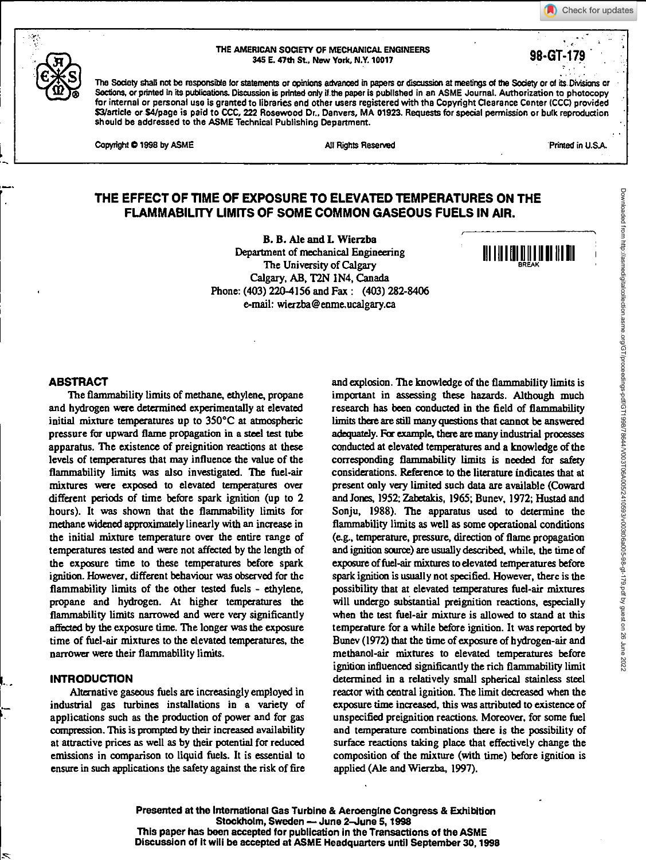Check for updates



#### THE AMERICAN SOCIETY OF MECHANICAL ENGINEERS 345 E. 47th St.. New York. N.Y. 10017 **98-GT-179**

The Society shall not be msponstde for statements or opinions advanced in papers or discussion at meetings ot the Society or of its Divisions or Sections, or printed in its publications. Discussion is printed only if the paper is published in an ASME Journal. Authorization to photocopy for internal or personal use is granted to libraries and other users registered with the Copyright Clearance Center (CCC) provided \$3/article or \$4/page is paid to CCC, 222 Rosewood Dr., Danvers, MA 01923. Requests for special permission or bulk reproduction should be addressed to the ASME Technical Publishing Department.

Copyright © 1998 by ASME All Rights Reserved Printed in U.S.A.

# **THE EFFECT OF TIME OF EXPOSURE TO ELEVATED TEMPERATURES ON THE FLAMMABILITY LIMITS OF SOME COMMON GASEOUS FUELS IN AIR.**

B. B. Ale and L Wierzba Department of mechanical Engineering The University of Calgary Calgary, AB, T2N 1N4, Canada Phone: (403) 220-4156 and Fax : (403) 282-8406 e-mail: wierzba@enme.ucalgary.ca

الا الا الي الي الا اليا ال

#### **ABSTRACT**

The flammability limits of methane, ethylene, propane and hydrogen were determined experimentally at elevated initial mixture temperatures up to 350°C at atmospheric pressure for upward flame propagation in a steel test tube apparatus. The existence of preignition reactions at these levels of temperatures that may influence the value of the flammability limits was also investigated. The fuel-air mixtures were exposed to elevated **temperatures Ova**  different periods of time before spark ignition (up to 2 hours). It *was* shown that the flammability limits for methane widened approximately linearly with an increase in the initial mixture temperature over the entire range of temperatures tested and were not affected by the length of the exposure time to these temperatures before spark ignition. However, different behaviour was observed for the flammability limits of the other tested fuels - ethylene, propane and hydrogen. At higher temperatures the flammability limits narrowed and were very significantly affected by the exposure time. The longer was the exposure time of fuel-air mixtures to the elevated temperatures, **the**  narrower were their flammability limits.

### **INTRODUCTION**

Alternative gaseous fuels are increasingly employed in industrial gas turbines installations in a variety of applications such as the production of power and for gas compression. This is prompted by their increased availability at attractive prices as well as by their potential for reduced emissions in comparison to liquid fuels. It is essential to ensure in such applications the safety against the risk of fire and explosion. The knowledge of the flammability limits is important in assessing these hazards. Although much research has been conducted in the field of flammability limits there are still many questions that cannot be answered adequately. For example, there are many industrial processes conducted at elevated temperatures and a knowledge of the corresponding flammability limits is needed for safety considerations. Reference to the literature indicates that at present only very limited such data are available (Coward and Jones, 1952; Zabetakis, 1965; Bunev, 1972; Hustad and Sonju, 1988). The apparatus used to determine the flammability limits as well as some operational conditions (e.g., temperature, pressure, direction of flame propagation and ignition source) are usually described, while, the time of exposure of fuel-air mixtures to elevated temperatures before spark ignition is usually not specified. However, there is the possibility that at elevated temperatures fuel-air mixtures will undergo substantial preignition reactions, especially when the test fuel-air mixture is allowed to stand at this temperature for a while before ignition. It was reported by Bunev (1972) that the time of exposure of hydrogen-air and methanol-air mixtures to elevated temperatures before ignition influenced significantly the rich flammability limit determined in a relatively small spherical stainless steel reactor with central ignition. The limit decreased when the exposure time increased, this was attributed to existence of unspecified preignition reactions. Moreover, for some fuel **and** temperature combinations there is the possibility of surface reactions taking place that effectively change the composition of the mixture (with time) before ignition is applied (Ale and Wierzba, 1997).

Downloaded from http://asmedigitalcollection.asme.org/GTproceedings-pdf/GT1998/7844/V003T06b/24105924069905-98-gt-179-pdf by guest on 26 June 2022 Downloaded from http://asmedigitalcollection.asme.org/GT/proceedings-pdf/GT1998/78644/V003T06A005/2410593/v003t06a005-98-gt-179.pdf by guest on 26 June 2022

**Presented at the International Gas Turbine & Aeroengine Congress & Exhibition Stockholm, Sweden — June 2–June 5, 1998 This paper has been accepted for publication in the Transactions of the ASME Discussion of It will be accepted at ASME Headquarters until September 30, 1998**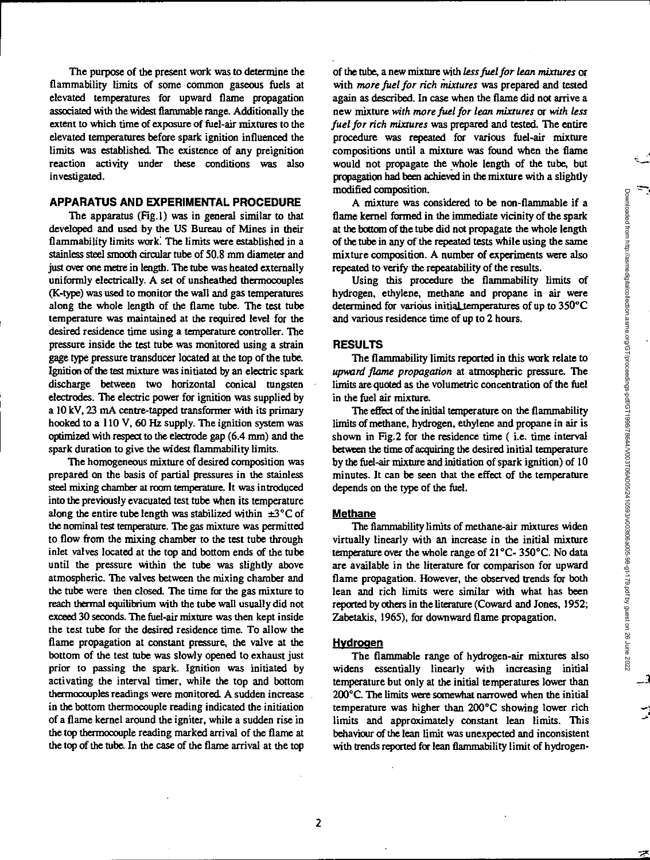2

The purpose of the present work was to determine the flammability limits of some common gaseous fuels at elevated temperatures for upward flame propagation associated with the widest flammable range. Additionally the extent to which time of exposure of fuel-air mixtures to the elevated temperatures before spark ignition influenced the limits was established. The existence of any preignition reaction activity under these conditions was also investigated.

# **APPARATUS AND EXPERIMENTAL PROCEDURE**

The apparatus (Fig.!) was in general similar to that developed and used by the US Bureau of Mines in their flammability limits work: The limits were established in a stainless steel smooth circular tube of 50.8 mm diameter and just over one metre in length. The tube was heated externally uniformly electrically. A set of unsheathed thermocouples (K-type) was used to monitor the wall and gas temperatures along the whole length of the flame tube. The test tube temperature was maintained at the required level for the desired residence time using a temperature controller. The pressure inside the test tube was monitored using a strain gage type pressure transducer located at the top of the tube. Ignition of the test mixture was initiated by an electric spark discharge between two horizontal conical tungsten electrodes. The electric power for ignition was supplied by a 10 kV, 23 mA centre-tapped transformer with its primary hooked to a 110 V, 60 Hz supply. The ignition system was optimized with respect to the electrode gap (6.4 mm) and the spark duration to give the widest flammability limits.

The homogeneous mixture of desired composition was prepared on the basis of partial pressures in the stainless steel mixing chamber at room temperature. It was introduced into the previously evacuated test tube when its temperature along the entire tube length was stabilized within  $\pm 3^{\circ}$ C of the nominal test temperature. The gas mixture was permitted to flow from the mixing chamber to the test tube through inlet valves located at the top and bottom ends of the tube until the pressure within the tube was slightly above atmospheric. The valves between the mixing chamber and the tube were then closed. The time for the gas mixture to reach thermal equilibrium with the tube wall usually did not exceed 30 seconds. The fuel-air mixture was then kept inside the test tube for the desired residence time. To allow the flame propagation at constant pressure, the valve at the bottom of the test tube was slowly opened to exhaust just prior to passing the spark. Ignition was initiated by activating the interval timer, while the top and bottom thermocouples readings were monitored. A sudden increase in the bottom thermocouple reading indicated the initiation of a flame kernel around the igniter, while a sudden rise in the top thermocouple reading marked arrival of the flame at the top of the tube. In the case of the flame arrival at the top

of the tube, a new mixture with *less fuel for lean mixtures* or with *more fuel for rich mixtures* was prepared and tested again as described. In case when the flame did not arrive a new mixture *with more fuel for lean mixtures* or *with less fuel for rich mixtures* was prepared and tested. The entire procedure was repeated for various fuel-air mixture compositions until a mixture was found when the flame would not propagate the whole length of the tube, but propagation had been achieved in the mixture with a slightly modified composition.

A mixture was considered to be non-flammable if a flame kernel formed in the immediate vicinity of the spark at the bottom of the tube did not propagate the whole length of the tube in any of the repeated tests while using the same mixture composition. A number of experiments were also repeated to verify the repeatability of the results.

Using this procedure the flammability limits of hydrogen, ethylene, methane and propane in air were determined for various initial temperatures of up to 350°C and various residence time of up to 2 hours.

#### **RESULTS**

The flammability limits reported in this work relate to *upward flame propagation* at atmospheric pressure. The limits are quoted as the volumetric concentration of the fuel in the fuel air mixture.

The effect of the initial temperature on the flammability limits of methane, hydrogen, ethylene and propane in air is shown in Fig.2 for the residence time ( i.e. time interval between the time of acquiring the desired initial temperature by the fuel-air mixture and initiation of spark ignition) of 10 minutes. It can be seen that the effect of the temperature depends on the type of the fuel.

### **Methane**

The flammability limits of methane-air mixtures widen virtually linearly with an increase in the initial mixture temperature over the whole range of 21°C- 350°C. No data are available in the literature for comparison for upward flame propagation. However, the observed trends for both lean and rich limits were similar with what has been reported by others in the literature (Coward and Jones, 1952; Zabetakis, 1965), for downward flame propagation.

### **Hydrogen**

The flammable range of hydrogen-air mixtures also widens essentially linearly with increasing initial temperature but only at the initial temperatures lower than 200°C. The limits were somewhat narrowed when the initial temperature was higher than 200°C showing lower rich limits and approximately constant lean limits. This behaviour of the lean limit was unexpected and inconsistent with trends reported for lean flammability limit of hydrogen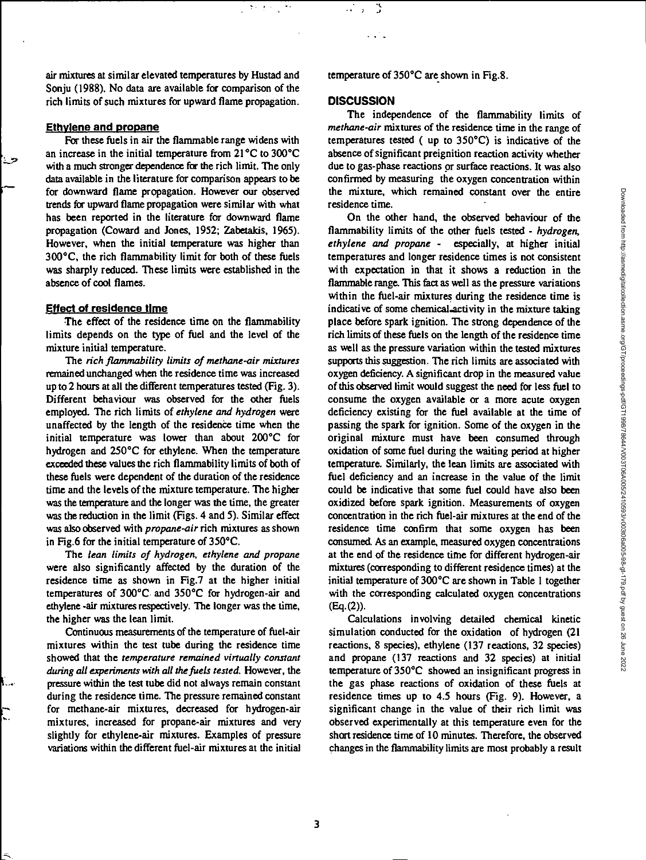air mixtures at similar elevated temperatures by Hustad and Sonju (1988). No data are available for comparison of the rich limits of such mixtures for upward flame propagation.

### **Ethylene and propane**

 $-2$ 

•■••■

For these fuels in air the flammable range widens with an increase in the initial temperature from 21°C to 300°C with a much stronger dependence for the rich limit. The only data available in the literature for comparison appears to be for downward flame propagation. However our observed trends for upward flame propagation were similar with what has been reported in the literature for downward flame propagation (Coward and Jones, 1952; Zabetakis, 1965). However, when the initial temperature was higher than 300°C, the rich flammability limit for both of these fuels was sharply reduced. These limits were established in the absence of cool flames.

## **Effect of residence time**

The effect of the residence time on the flammability limits depends on the type of fuel and the level of the mixture initial temperature.

The rich flammability limits of methane-air mixtures remained unchanged when the residence time was increased up to 2 hours at all the different temperatures tested (Fig. 3). Different behaviour was observed for the other fuels employed. The rich limits of ethylene and hydrogen were unaffected by the length of the residence time when the initial temperature was lower than about 200°C for hydrogen and 250°C for ethylene. When the temperature exceeded these values the rich flammability limits of both of these fuels were dependent of the duration of the residence time and the levels of the mixture temperature. The higher was the temperature and the longer was the time, the greater was the reduction in the limit (Figs. 4 and 5). Similar effect was also observed with *propane-air* rich mixtures as shown in Fig.6 for the initial temperature of 350°C.

The lean limits of hydrogen, ethylene and propane were also significantly affected by the duration of the residence time as shown in Fig.7 at the higher initial temperatures of 300°C and 350°C for hydrogen-air and ethylene -air mixtures respectively. The longer was the time, the higher was the lean limit.

Continuous measurements of the temperature of fuel-air mixtures within the test tube during the residence time showed that the temperature remained virtually constant during all experiments with all the fuels tested. However, the pressure within the test tube did not always remain constant during the residence time. The pressure remained constant for methane-air mixtures, decreased for hydrogen-air mixtures, increased for propane-air mixtures and very slightly for ethylene-air mixtures. Examples of pressure variations within the different fuel-air mixtures at the initial temperature of 350°C are shown in Fig.8.

# **DISCUSSION**

J,

 $\mathcal{F}^{\mathcal{A}}_{\mathcal{A}}$  ,  $\mathcal{F}^{\mathcal{A}}_{\mathcal{A}}$  ,  $\mathcal{F}^{\mathcal{A}}_{\mathcal{A}}$ 

The independence of the flammability limits of methane-air mixtures of the residence time in the range of temperatures tested ( $up$  to 350 $^{\circ}$ C) is indicative of the absence of significant preignition reaction activity whether due to gas-phase reactions or surface reactions. It was also confirmed by measuring the oxygen concentration within the mixture, which remained constant over the entire residence time.

On the other hand, the observed behaviour of the flammability limits of the other fuels tested - hydrogen, ethylene and propane - especially, at higher initial temperatures and longer residence times is not consistent with expectation in that it shows a reduction in the flammable range. This fact as well as the pressure variations within the fuel-air mixtures during the residence time is indicative of some chernical.activity in the mixture taking place before spark ignition. The strong dependence of the rich limits of these fuels on the length of the residence time as well as the pressure variation within the tested mixtures supports this suggestion. The rich limits are associated with oxygen deficiency. A significant drop in the measured value of this observed limit would suggest the need for less fuel to consume the oxygen available or a more acute oxygen deficiency existing for the fuel available at the time of passing the spark for ignition. Some of the oxygen in the original mixture must have been consumed through oxidation of some fuel during the waiting period at higher temperature. Similarly, the lean limits are associated with fuel deficiency and an increase in the value of the limit could be indicative that some fuel could have also been oxidized before spark ignition. Measurements of oxygen concentration in the rich fuel-air mixtures at the end of the residence time confirm that some oxygen has been consumed. As an example, measured oxygen concentrations at the end of the residence time for different hydrogen-air mixtures (corresponding to different residence times) at the initial temperature of 300°C are shown in Table I together with the corresponding calculated oxygen concentrations  $(Eq.(2))$ .

Calculations involving detailed chemical kinetic simulation conducted for the oxidation of hydrogen (21 reactions, 8 species), ethylene (137 reactions, 32 species) and propane (137 reactions and 32 species) at initial temperature of 350°C showed an insignificant progress in the gas phase reactions of oxidation of these fuels at residence times up to 4.5 hours (Fig. 9). However, a significant change in the value of their rich limit was observed experimentally at this temperature even for the short residence time of 10 minutes. Therefore, the observed changes in the flammability limits are most probably a result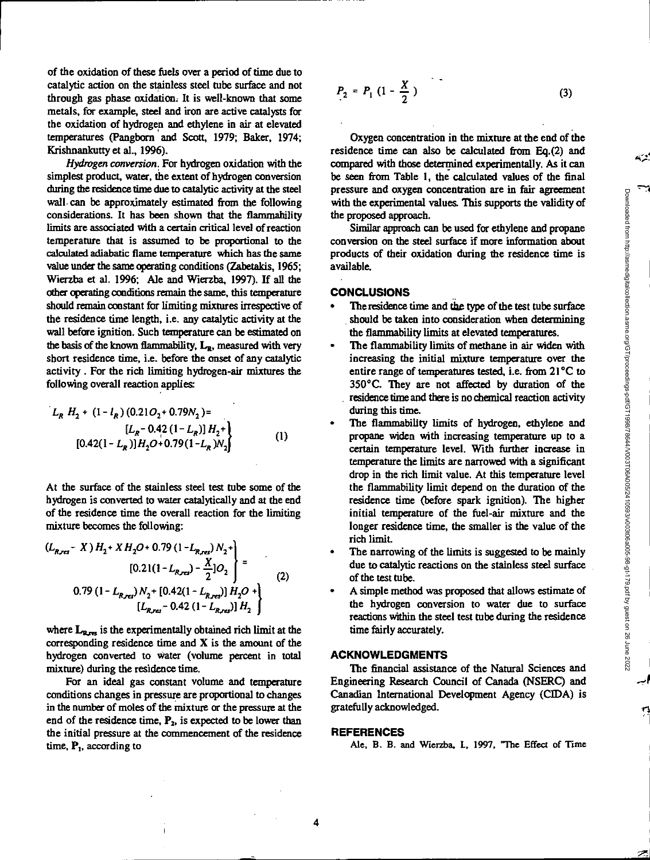of the oxidation of these fuels over a period of time due to catalytic action on the stainless steel tube surface and not through gas phase oxidation: It is well-known that some metals, for example, steel and iron are active catalysts for the oxidation of hydrogen and ethylene in air at elevated temperatures (Pangborn and Scott, 1979; Baker, 1974; Krishnankutty et al., 1996).

*Hydrogen conversion.* For hydrogen oxidation with the simplest product, water, the extent of hydrogen conversion during the residence time due to catalytic activity at the steel wall can be approximately estimated from the following considerations. It has been shown that the flammability limits are associated with a certain critical level of reaction temperature that is assumed to be proportional to the calculated adiabatic flame temperature which has *the* same value under the same operating conditions (Zabetakis, 1965; Wierzba et al. 1996; Ale and Wierzba, 1997). If all the other operating conditions remain the same, this temperature should remain constant for limiting mixtures irrespective of the residence time length, i.e. any catalytic activity at the wall before ignition. Such temperature can be estimated on the basis of the known flammability,  $L_R$ , measured with very short residence time, i.e. before the onset of any catalytic activity. For the rich limiting hydrogen-air mixtures the following overall reaction applies:

$$
L_R H_2 + (1 - l_R) (0.21O_2 + 0.79N_2) =
$$
  
\n
$$
[L_R - 0.42 (1 - L_R)] H_2 +
$$
  
\n
$$
[0.42(1 - L_R)] H_2 O + 0.79(1 - L_R)N_2
$$
 (1)

At the surface of the stainless steel test tube some of the hydrogen is converted to water catalytically and at the end of the residence time the overall reaction for the limiting mixture becomes the following:

$$
\begin{aligned} (L_{R,res} - X) H_2 + X H_2 O + 0.79 (1 - L_{R,res}) N_2 + \\ & [0.21(1 - L_{R,res}) - \frac{X}{2}] O_2 \end{aligned} = \begin{bmatrix} 0.79 (1 - L_{R,res}) N_2 + [0.42(1 - L_{R,res})] H_2 O + \\ & [L_{R,res} - 0.42 (1 - L_{R,res})] H_2 \end{bmatrix} = (2)
$$

where  $L_{\rm{R,res}}$  is the experimentally obtained rich limit at the corresponding residence time and X is the amount of the hydrogen converted to water (volume percent in total mixture) during the residence time.

For an ideal gas constant volume and temperature conditions changes in pressure are proportional to changes in the number of moles of the mixture or the pressure at the end of the residence time,  $P_2$ , is expected to be lower than the initial pressure at the commencement of the residence time, P,, according to

$$
P_2 = P_1 (1 - \frac{X}{2})
$$
 (3)

Oxygen concentration in the mixture at the end of the residence time can also be calculated from Eq.(2) and compared with those determined experimentally. As it can be seen from Table 1, the calculated values of the final pressure and oxygen concentration are in fair agreement with the experimental values. This supports the validity of the proposed approach.

Similar approach can be used for ethylene and propane conversion on the steel surface if more information about products of their oxidation during the residence time is available.

# **CONCLUSIONS**

- The residence time and the type of the test tube surface should be taken into consideration when determining the flammability limits at elevated temperatures.
- The flammability limits of methane in air widen with increasing the initial mixture temperature over the entire range of temperatures tested, i.e. from 21°C to 350°C They are not affected by duration of the residence time and there is no chemical reaction activity during this time.
- The flammability limits of hydrogen, ethylene and propane widen with increasing temperature up to a certain temperature level. With further increase in temperature the limits are narrowed with a significant drop in the rich limit value. At this temperature level the flammability limit depend on the duration of the residence time (before spark ignition). The higher initial temperature of the fuel-air mixture and the longer residence time, the smaller is the value of the rich limit.
- The narrowing of the limits is suggested to be mainly due to catalytic reactions on the stainless steel surface of the test tube.
- A simple method was proposed that allows estimate of the hydrogen conversion to water due to surface reactions within the steel test tube during the residence time fairly accurately.

## **ACKNOWLEDGMENTS**

The financial assistance of the Natural Sciences and Engineering Research Council of Canada (NSERC) and Canadian International Development Agency (ODA) is gratefully acknowledged.

#### **REFERENCES**

Ale, B. B. and Wierzba. L, 1997, 'The Effect of Time

 $\leq$   $\geq$  .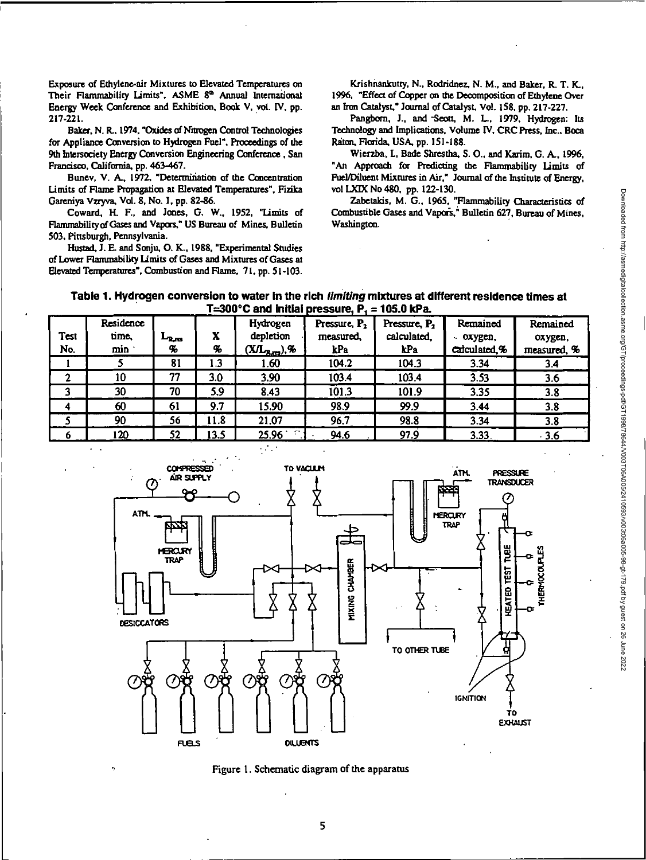Exposure of Ethylene-air Mixtures to Elevated Temperatures on Their Flammability Limits", ASME 8<sup>th</sup> Annual International Energy Week Conference and Exhibition, Book V. vol. IV, pp. 217-221.

Baker, N. R., 1974, "Oxides of Nitrogen Control Technologies for Appliance Conversion to Hydrogen Fuel", Proceedings of the 9th Intersociety Energy Conversion Engineering Conference , San Francisco, California, pp. 463-467.

Bunev, V. A., 1972, "Determination of the Concentration Limits of Flame Propagation at Elevated Temperatures", Erika Gareniya Vzryva, Vol. 8, No. 1, pp. 8246.

Coward, H. F., and Jones, G. W., 1952, "Limits of Flammability of Gases and Vapors," US Bureau of Mines, Bulletin 503, Pittsburgh, Pennsylvania.

Hustad, J. E and Sonju, 0. K., 1988, "Experimental Studies of Lower Flammability Limits of Gases and Mixtures of Gases at Elevated Temperatures", Combustion and Flame, 71, pp. 51-103.

Krishnankutty, N., Rodridnez, N. M., and Baker, R. T. K., 1996, "Effect of Copper on the Decomposition of Ethylene Over an Iron Catalyst," Journal of Catalyst. Vol. 158, pp. 217-227.

Pangbom, 1., and -Scott, M. L. 1979, Hydrogen: Its Technology and Implications, Volume IV, CRC Press, Inc., Boca Raton, Florida, USA, pp. 151-188.

Wierzba, L, Bade Shrestha, S. 0., and Karim, G. A., 1996, "An Approach for Predicting the Flammability Limits of Fuel/Diluent Mixtures in Air," Journal of the Institute of Energy, vol LXIX No 480, pp. 122-130.

Zabetakis, M. G., 1965, "Flammability Characteristics of Combustible Gases and Vapors," Bulletin 627, Bureau of Mines, Washington.

| Table 1. Hydrogen conversion to water in the rich <i>limiting</i> mixtures at different residence times at |  |
|------------------------------------------------------------------------------------------------------------|--|
| T=300°C and initial pressure, $P_1$ = 105.0 kPa.                                                           |  |

| Test<br>No. | Residence<br>time.<br>min : | $L_{R,rel}$<br>ъ. | X<br>Z, | Hydrogen<br>depletion<br>$(X/L_{R,m}),\%$ | Pressure, $P_2$<br>measured,<br>kPa | Pressure, P <sub>2</sub><br>calculated.<br>kPa | Remained<br>oxygen,<br>calculated,% | Remained<br>oxygen,<br>measured, % |
|-------------|-----------------------------|-------------------|---------|-------------------------------------------|-------------------------------------|------------------------------------------------|-------------------------------------|------------------------------------|
|             |                             | 81                | 1.3     | 1.60                                      | 104.2                               | 104.3                                          | 3.34                                | 3.4                                |
| $\mathbf 2$ | 10                          | 77                | 3.0     | 3.90                                      | 103.4                               | 103.4                                          | 3.53                                | 3.6                                |
| 3           | 30                          | 70                | 5.9     | 8.43                                      | 101.3                               | 101.9                                          | 3.35                                | 3.8                                |
| 4           | 60                          | 61                | 9.7     | 15.90                                     | 98.9                                | 99.9                                           | 3.44                                | 3.8                                |
|             | 90                          | 56                | 1.8     | 21.07                                     | 96.7                                | 98.8                                           | 3.34                                | 3.8                                |
| $-6$        | 120                         | 52                | 13.5    | $\mathbf{A}$<br>25.96                     | 94.6                                | 97.9                                           | 3.33.                               | 3.6                                |



Figure 1. Schematic diagram of the apparatus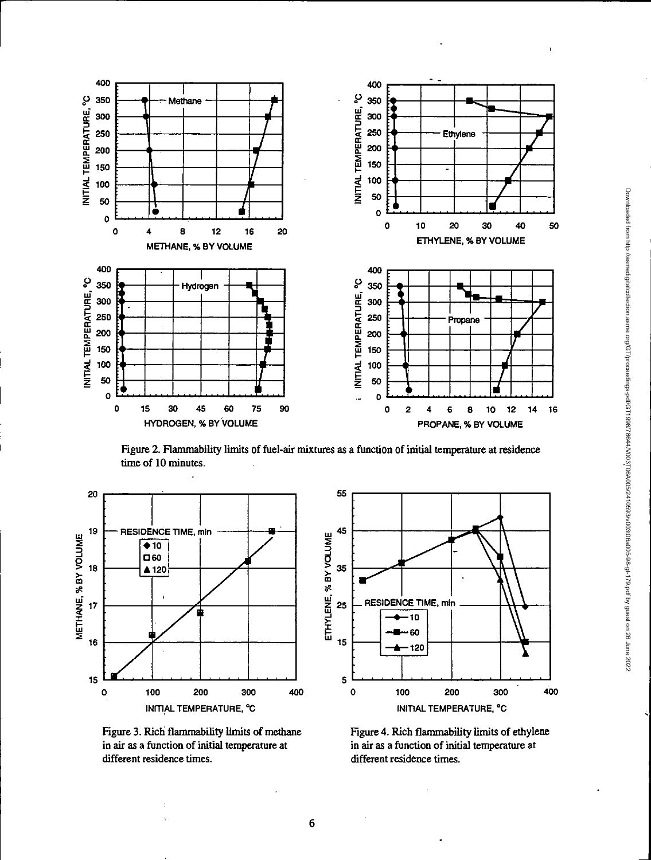

-

Figure 2. flammability limits of fuel-air mixtures as a function of initial temperature at residence time of 10 minutes.



-

in air as a function of initial temperature at in air as a function of initial temperature at different residence times.



Figure 3. Rich flammability limits of methane Figure 4. Rich flammability limits of ethylene<br>in air as a function of initial temperature at in air as a function of initial temperature at different residence times.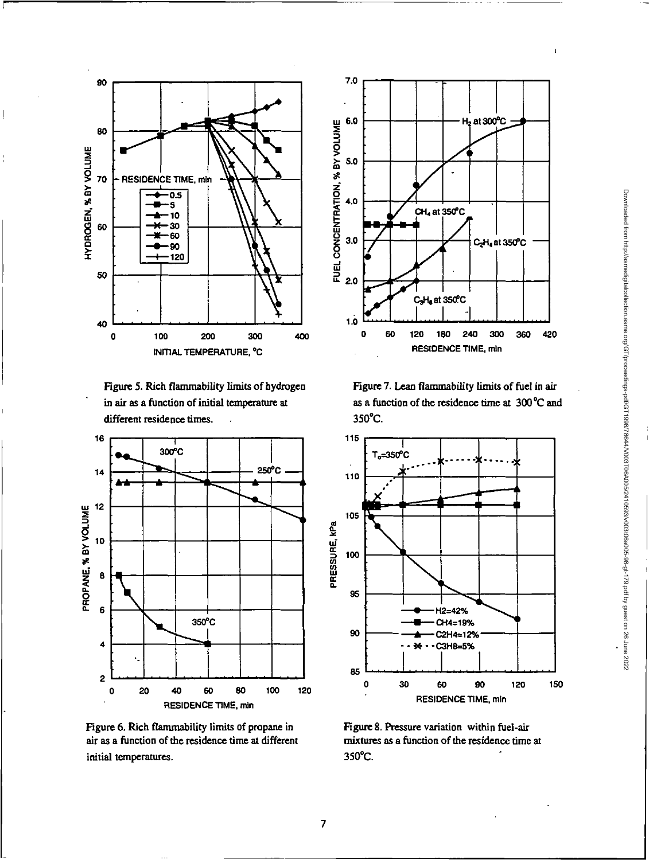

Figure 5. Rich flammability limits of hydrogen Figure 7. Lean flammability limits of fuel in air different residence times. 350°C.



Figure 6. Rich flammability limits of propane in air as a function of the residence time at different initial temperatures.



in air as a function of initial temperature at as a function of the residence time at  $300^{\circ}$ C and



Figure 8. Pressure variation within fuel-air mixtures as a function of the residence time at 350°C.